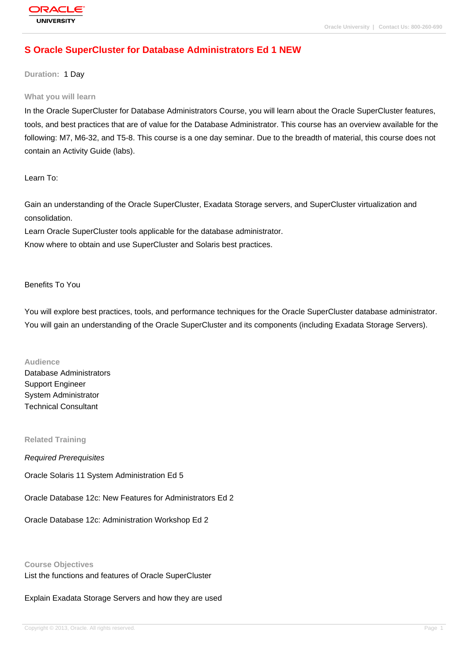# **[S Oracle Super](http://education.oracle.com/pls/web_prod-plq-dad/db_pages.getpage?page_id=3)Cluster for Database Administrators Ed 1 NEW**

**Duration:** 1 Day

#### **What you will learn**

In the Oracle SuperCluster for Database Administrators Course, you will learn about the Oracle SuperCluster features, tools, and best practices that are of value for the Database Administrator. This course has an overview available for the following: M7, M6-32, and T5-8. This course is a one day seminar. Due to the breadth of material, this course does not contain an Activity Guide (labs).

Learn To:

Gain an understanding of the Oracle SuperCluster, Exadata Storage servers, and SuperCluster virtualization and consolidation.

Learn Oracle SuperCluster tools applicable for the database administrator. Know where to obtain and use SuperCluster and Solaris best practices.

#### Benefits To You

You will explore best practices, tools, and performance techniques for the Oracle SuperCluster database administrator. You will gain an understanding of the Oracle SuperCluster and its components (including Exadata Storage Servers).

#### **Audience**

Database Administrators Support Engineer System Administrator Technical Consultant

**Related Training**

Required Prerequisites

Oracle Solaris 11 System Administration Ed 5

Oracle Database 12c: New Features for Administrators Ed 2

Oracle Database 12c: Administration Workshop Ed 2

**Course Objectives**

List the functions and features of Oracle SuperCluster

Explain Exadata Storage Servers and how they are used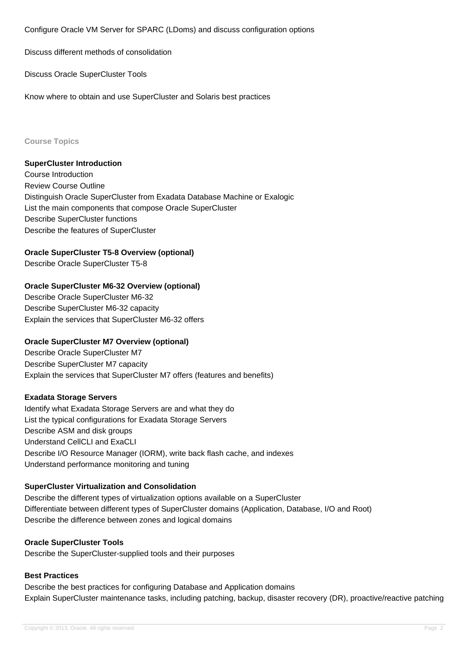Configure Oracle VM Server for SPARC (LDoms) and discuss configuration options

Discuss different methods of consolidation

Discuss Oracle SuperCluster Tools

Know where to obtain and use SuperCluster and Solaris best practices

### **Course Topics**

# **SuperCluster Introduction**

Course Introduction Review Course Outline Distinguish Oracle SuperCluster from Exadata Database Machine or Exalogic List the main components that compose Oracle SuperCluster Describe SuperCluster functions Describe the features of SuperCluster

# **Oracle SuperCluster T5-8 Overview (optional)**

Describe Oracle SuperCluster T5-8

# **Oracle SuperCluster M6-32 Overview (optional)**

Describe Oracle SuperCluster M6-32 Describe SuperCluster M6-32 capacity Explain the services that SuperCluster M6-32 offers

# **Oracle SuperCluster M7 Overview (optional)**

Describe Oracle SuperCluster M7 Describe SuperCluster M7 capacity Explain the services that SuperCluster M7 offers (features and benefits)

# **Exadata Storage Servers**

Identify what Exadata Storage Servers are and what they do List the typical configurations for Exadata Storage Servers Describe ASM and disk groups Understand CellCLI and ExaCLI Describe I/O Resource Manager (IORM), write back flash cache, and indexes Understand performance monitoring and tuning

# **SuperCluster Virtualization and Consolidation**

Describe the different types of virtualization options available on a SuperCluster Differentiate between different types of SuperCluster domains (Application, Database, I/O and Root) Describe the difference between zones and logical domains

# **Oracle SuperCluster Tools**

Describe the SuperCluster-supplied tools and their purposes

# **Best Practices**

Describe the best practices for configuring Database and Application domains Explain SuperCluster maintenance tasks, including patching, backup, disaster recovery (DR), proactive/reactive patching